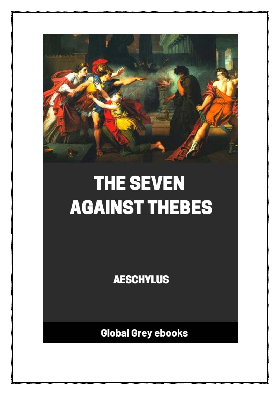

# **THE SEVEN AGAINST THEBES**

**AESCHYLUS** 

**Global Grey ebooks**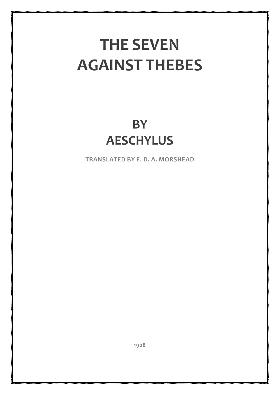## **THE SEVEN AGAINST THEBES**

### **BY AESCHYLUS**

**TRANSLATED BY E. D. A. MORSHEAD**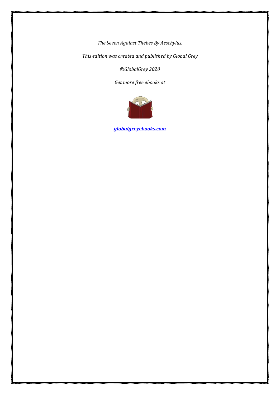*The Seven Against Thebes By Aeschylus.*

*This edition was created and published by Global Grey*

*©GlobalGrey 2020*

*Get more free ebooks at*



*[globalgreyebooks.com](https://www.globalgreyebooks.com/index.html)*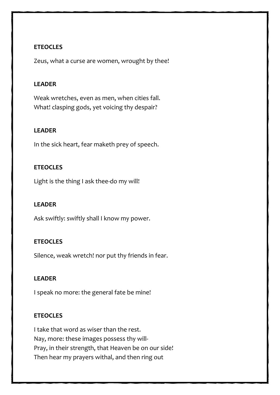#### **ETEOCLES**

Zeus, what a curse are women, wrought by thee!

#### **LEADER**

Weak wretches, even as men, when cities fall. What! clasping gods, yet voicing thy despair?

#### **LEADER**

In the sick heart, fear maketh prey of speech.

#### **ETEOCLES**

Light is the thing I ask thee-do my will!

#### **LEADER**

Ask swiftly: swiftly shall I know my power.

#### **ETEOCLES**

Silence, weak wretch! nor put thy friends in fear.

#### **LEADER**

I speak no more: the general fate be mine!

#### **ETEOCLES**

I take that word as wiser than the rest. Nay, more: these images possess thy will-Pray, in their strength, that Heaven be on our side! Then hear my prayers withal, and then ring out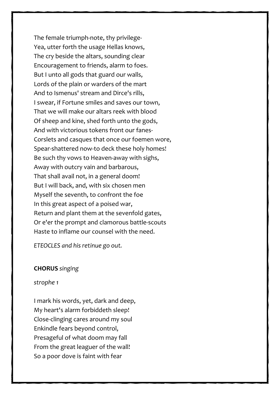The female triumph-note, thy privilege-Yea, utter forth the usage Hellas knows, The cry beside the altars, sounding clear Encouragement to friends, alarm to foes. But I unto all gods that guard our walls, Lords of the plain or warders of the mart And to Ismenus' stream and Dirce's rills, I swear, if Fortune smiles and saves our town, That we will make our altars reek with blood Of sheep and kine, shed forth unto the gods, And with victorious tokens front our fanes-Corslets and casques that once our foemen wore, Spear-shattered now-to deck these holy homes! Be such thy vows to Heaven-away with sighs, Away with outcry vain and barbarous, That shall avail not, in a general doom! But I will back, and, with six chosen men Myself the seventh, to confront the foe In this great aspect of a poised war, Return and plant them at the sevenfold gates, Or e'er the prompt and clamorous battle-scouts Haste to inflame our counsel with the need.

*ETEOCLES and his retinue go out.*

#### **CHORUS** *singing*

*strophe 1*

I mark his words, yet, dark and deep, My heart's alarm forbiddeth sleep! Close-clinging cares around my soul Enkindle fears beyond control, Presageful of what doom may fall From the great leaguer of the wall! So a poor dove is faint with fear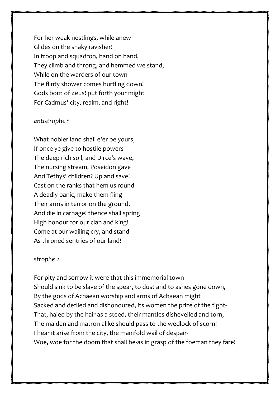For her weak nestlings, while anew Glides on the snaky ravisher! In troop and squadron, hand on hand, They climb and throng, and hemmed we stand, While on the warders of our town The flinty shower comes hurtling down! Gods born of Zeus! put forth your might For Cadmus' city, realm, and right!

#### *antistrophe 1*

What nobler land shall e'er be yours, If once ye give to hostile powers The deep rich soil, and Dirce's wave, The nursing stream, Poseidon gave And Tethys' children? Up and save! Cast on the ranks that hem us round A deadly panic, make them fling Their arms in terror on the ground, And die in carnage! thence shall spring High honour for our clan and king! Come at our wailing cry, and stand As throned sentries of our land!

#### *strophe 2*

For pity and sorrow it were that this immemorial town Should sink to be slave of the spear, to dust and to ashes gone down, By the gods of Achaean worship and arms of Achaean might Sacked and defiled and dishonoured, its women the prize of the fight-That, haled by the hair as a steed, their mantles dishevelled and torn, The maiden and matron alike should pass to the wedlock of scorn! I hear it arise from the city, the manifold wail of despair-Woe, woe for the doom that shall be-as in grasp of the foeman they fare!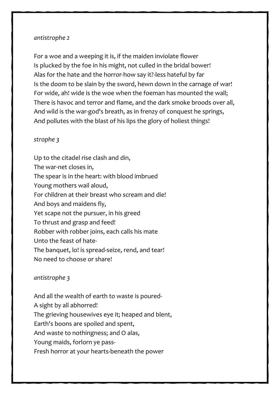#### *antistrophe 2*

For a woe and a weeping it is, if the maiden inviolate flower Is plucked by the foe in his might, not culled in the bridal bower! Alas for the hate and the horror-how say it?-less hateful by far Is the doom to be slain by the sword, hewn down in the carnage of war! For wide, ah! wide is the woe when the foeman has mounted the wall; There is havoc and terror and flame, and the dark smoke broods over all, And wild is the war-god's breath, as in frenzy of conquest he springs, And pollutes with the blast of his lips the glory of holiest things!

#### *strophe 3*

Up to the citadel rise clash and din, The war-net closes in, The spear is in the heart: with blood imbrued Young mothers wail aloud, For children at their breast who scream and die! And boys and maidens fly, Yet scape not the pursuer, in his greed To thrust and grasp and feed! Robber with robber joins, each calls his mate Unto the feast of hate-The banquet, lo! is spread-seize, rend, and tear! No need to choose or share!

#### *antistrophe 3*

And all the wealth of earth to waste is poured-A sight by all abhorred! The grieving housewives eye it; heaped and blent, Earth's boons are spoiled and spent, And waste to nothingness; and O alas, Young maids, forlorn ye pass-Fresh horror at your hearts-beneath the power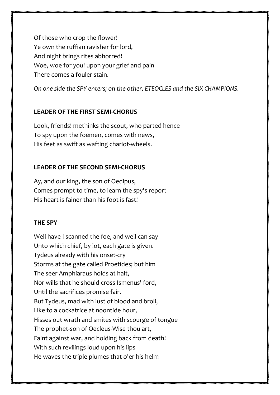Of those who crop the flower! Ye own the ruffian ravisher for lord, And night brings rites abhorred! Woe, woe for you! upon your grief and pain There comes a fouler stain.

*On one side the SPY enters; on the other, ETEOCLES and the SIX CHAMPIONS.*

#### **LEADER OF THE FIRST SEMI-CHORUS**

Look, friends! methinks the scout, who parted hence To spy upon the foemen, comes with news, His feet as swift as wafting chariot-wheels.

#### **LEADER OF THE SECOND SEMI-CHORUS**

Ay, and our king, the son of Oedipus, Comes prompt to time, to learn the spy's report-His heart is fainer than his foot is fast!

#### **THE SPY**

Well have I scanned the foe, and well can say Unto which chief, by lot, each gate is given. Tydeus already with his onset-cry Storms at the gate called Proetides; but him The seer Amphiaraus holds at halt, Nor wills that he should cross Ismenus' ford, Until the sacrifices promise fair. But Tydeus, mad with lust of blood and broil, Like to a cockatrice at noontide hour, Hisses out wrath and smites with scourge of tongue The prophet-son of Oecleus-Wise thou art, Faint against war, and holding back from death! With such revilings loud upon his lips He waves the triple plumes that o'er his helm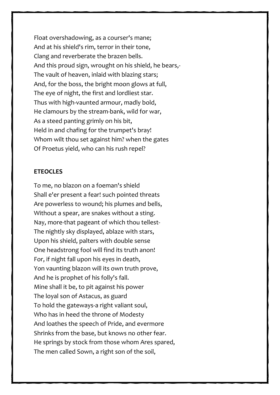Float overshadowing, as a courser's mane; And at his shield's rim, terror in their tone, Clang and reverberate the brazen bells. And this proud sign, wrought on his shield, he bears,- The vault of heaven, inlaid with blazing stars; And, for the boss, the bright moon glows at full, The eye of night, the first and lordliest star. Thus with high-vaunted armour, madly bold, He clamours by the stream-bank, wild for war, As a steed panting grimly on his bit, Held in and chafing for the trumpet's bray! Whom wilt thou set against him? when the gates Of Proetus yield, who can his rush repel?

#### **ETEOCLES**

To me, no blazon on a foeman's shield Shall e'er present a fear! such pointed threats Are powerless to wound; his plumes and bells, Without a spear, are snakes without a sting. Nay, more-that pageant of which thou tellest-The nightly sky displayed, ablaze with stars, Upon his shield, palters with double sense One headstrong fool will find its truth anon! For, if night fall upon his eyes in death, Yon vaunting blazon will its own truth prove, And he is prophet of his folly's fall. Mine shall it be, to pit against his power The loyal son of Astacus, as guard To hold the gateways-a right valiant soul, Who has in heed the throne of Modesty And loathes the speech of Pride, and evermore Shrinks from the base, but knows no other fear. He springs by stock from those whom Ares spared, The men called Sown, a right son of the soil,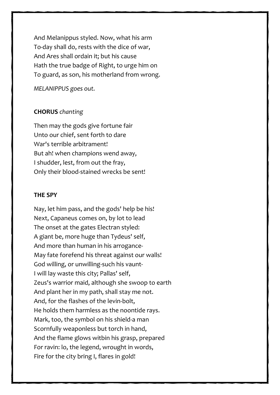And Melanippus styled. Now, what his arm To-day shall do, rests with the dice of war, And Ares shall ordain it; but his cause Hath the true badge of Right, to urge him on To guard, as son, his motherland from wrong.

*MELANIPPUS goes out.*

#### **CHORUS** *chanting*

Then may the gods give fortune fair Unto our chief, sent forth to dare War's terrible arbitrament! But ah! when champions wend away, I shudder, lest, from out the fray, Only their blood-stained wrecks be sent!

#### **THE SPY**

Nay, let him pass, and the gods' help be his! Next, Capaneus comes on, by lot to lead The onset at the gates Electran styled: A giant be, more huge than Tydeus' self, And more than human in his arrogance-May fate forefend his threat against our walls! God willing, or unwilling-such his vaunt-I will lay waste this city; Pallas' self, Zeus's warrior maid, although she swoop to earth And plant her in my path, shall stay me not. And, for the flashes of the levin-bolt, He holds them harmless as the noontide rays. Mark, too, the symbol on his shield-a man Scornfully weaponless but torch in hand, And the flame glows witbin his grasp, prepared For ravin: lo, the legend, wrought in words, Fire for the city bring I, flares in gold!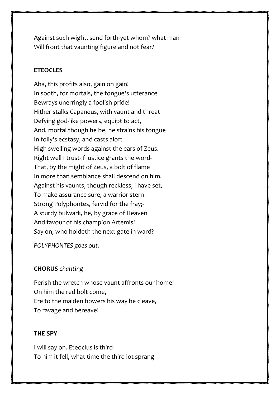Against such wight, send forth-yet whom? what man Will front that vaunting figure and not fear?

#### **ETEOCLES**

Aha, this profits also, gain on gain! In sooth, for mortals, the tongue's utterance Bewrays unerringly a foolish pride! Hither stalks Capaneus, with vaunt and threat Defying god-like powers, equipt to act, And, mortal though he be, he strains his tongue In folly's ecstasy, and casts aloft High swelling words against the ears of Zeus. Right well I trust-if justice grants the word-That, by the might of Zeus, a bolt of flame In more than semblance shall descend on him. Against his vaunts, though reckless, I have set, To make assurance sure, a warrior stern-Strong Polyphontes, fervid for the fray;- A sturdy bulwark, he, by grace of Heaven And favour of his champion Artemis! Say on, who holdeth the next gate in ward?

*POLYPHONTES goes out.*

#### **CHORUS** *chanting*

Perish the wretch whose vaunt affronts our home! On him the red bolt come, Ere to the maiden bowers his way he cleave, To ravage and bereave!

#### **THE SPY**

I will say on. Eteoclus is third-To him it fell, what time the third lot sprang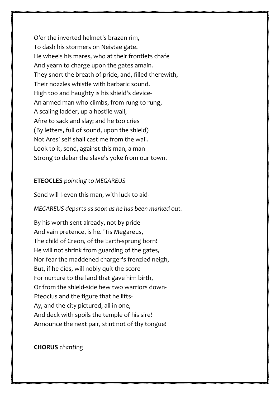O'er the inverted helmet's brazen rim, To dash his stormers on Neistae gate. He wheels his mares, who at their frontlets chafe And yearn to charge upon the gates amain. They snort the breath of pride, and, filled therewith, Their nozzles whistle with barbaric sound. High too and haughty is his shield's device-An armed man who climbs, from rung to rung, A scaling ladder, up a hostile wall, Afire to sack and slay; and he too cries (By letters, full of sound, upon the shield) Not Ares' self shall cast me from the wall. Look to it, send, against this man, a man Strong to debar the slave's yoke from our town.

#### **ETEOCLES** *pointing to MEGAREUS*

Send will I-even this man, with luck to aid-

*MEGAREUS departs as soon as he has been marked out.*

By his worth sent already, not by pride And vain pretence, is he. 'Tis Megareus, The child of Creon, of the Earth-sprung born! He will not shrink from guarding of the gates, Nor fear the maddened charger's frenzied neigh, But, if he dies, will nobly quit the score For nurture to the land that gave him birth, Or from the shield-side hew two warriors down-Eteoclus and the figure that he lifts-Ay, and the city pictured, all in one, And deck with spoils the temple of his sire! Announce the next pair, stint not of thy tongue!

**CHORUS** *chanting*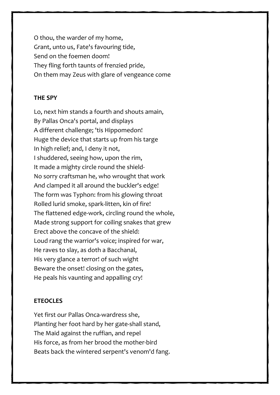O thou, the warder of my home, Grant, unto us, Fate's favouring tide, Send on the foemen doom! They fling forth taunts of frenzied pride, On them may Zeus with glare of vengeance come

#### **THE SPY**

Lo, next him stands a fourth and shouts amain, By Pallas Onca's portal, and displays A different challenge; 'tis Hippomedon! Huge the device that starts up from his targe In high relief; and, I deny it not, I shuddered, seeing how, upon the rim, It made a mighty circle round the shield-No sorry craftsman he, who wrought that work And clamped it all around the buckler's edge! The form was Typhon: from his glowing throat Rolled lurid smoke, spark-litten, kin of fire! The flattened edge-work, circling round the whole, Made strong support for coiling snakes that grew Erect above the concave of the shield: Loud rang the warrior's voice; inspired for war, He raves to slay, as doth a Bacchanal, His very glance a terror! of such wight Beware the onset! closing on the gates, He peals his vaunting and appalling cry!

#### **ETEOCLES**

Yet first our Pallas Onca-wardress she, Planting her foot hard by her gate-shall stand, The Maid against the ruffian, and repel His force, as from her brood the mother-bird Beats back the wintered serpent's venom'd fang.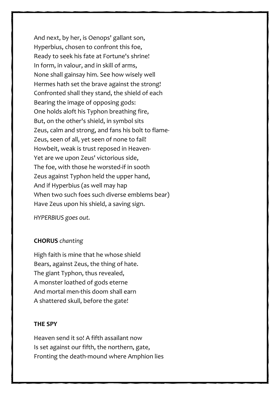And next, by her, is Oenops' gallant son, Hyperbius, chosen to confront this foe, Ready to seek his fate at Fortune's shrine! In form, in valour, and in skill of arms, None shall gainsay him. See how wisely well Hermes hath set the brave against the strong! Confronted shall they stand, the shield of each Bearing the image of opposing gods: One holds aloft his Typhon breathing fire, But, on the other's shield, in symbol sits Zeus, calm and strong, and fans his bolt to flame-Zeus, seen of all, yet seen of none to fail! Howbeit, weak is trust reposed in Heaven-Yet are we upon Zeus' victorious side, The foe, with those he worsted-if in sooth Zeus against Typhon held the upper hand, And if Hyperbius (as well may hap When two such foes such diverse emblems bear) Have Zeus upon his shield, a saving sign.

*HYPERBIUS goes out.*

#### **CHORUS** *chanting*

High faith is mine that he whose shield Bears, against Zeus, the thing of hate. The giant Typhon, thus revealed, A monster loathed of gods eterne And mortal men-this doom shall earn A shattered skull, before the gate!

#### **THE SPY**

Heaven send it so! A fifth assailant now Is set against our fifth, the northern, gate, Fronting the death-mound where Amphion lies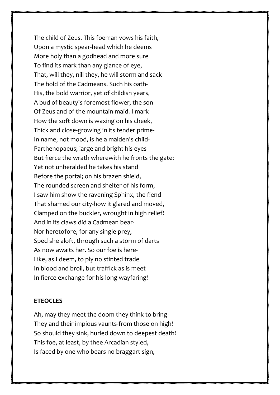The child of Zeus. This foeman vows his faith, Upon a mystic spear-head which he deems More holy than a godhead and more sure To find its mark than any glance of eye, That, will they, nill they, he will storm and sack The hold of the Cadmeans. Such his oath-His, the bold warrior, yet of childish years, A bud of beauty's foremost flower, the son Of Zeus and of the mountain maid. I mark How the soft down is waxing on his cheek, Thick and close-growing in its tender prime-In name, not mood, is he a maiden's child-Parthenopaeus; large and bright his eyes But fierce the wrath wherewith he fronts the gate: Yet not unheralded he takes his stand Before the portal; on his brazen shield, The rounded screen and shelter of his form, I saw him show the ravening Sphinx, the fiend That shamed our city-how it glared and moved, Clamped on the buckler, wrought in high relief! And in its claws did a Cadmean bear-Nor heretofore, for any single prey, Sped she aloft, through such a storm of darts As now awaits her. So our foe is here-Like, as I deem, to ply no stinted trade In blood and broil, but traffick as is meet In fierce exchange for his long wayfaring!

#### **ETEOCLES**

Ah, may they meet the doom they think to bring-They and their impious vaunts-from those on high! So should they sink, hurled down to deepest death! This foe, at least, by thee Arcadian styled, Is faced by one who bears no braggart sign,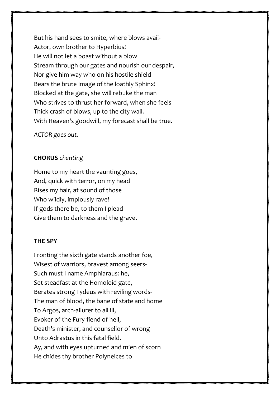But his hand sees to smite, where blows avail-Actor, own brother to Hyperbius! He will not let a boast without a blow Stream through our gates and nourish our despair, Nor give him way who on his hostile shield Bears the brute image of the loathly Sphinx! Blocked at the gate, she will rebuke the man Who strives to thrust her forward, when she feels Thick crash of blows, up to the city wall. With Heaven's goodwill, my forecast shall be true.

*ACTOR goes out.*

#### **CHORUS** *chanting*

Home to my heart the vaunting goes, And, quick with terror, on my head Rises my hair, at sound of those Who wildly, impiously rave! If gods there be, to them I plead-Give them to darkness and the grave.

#### **THE SPY**

Fronting the sixth gate stands another foe, Wisest of warriors, bravest among seers-Such must I name Amphiaraus: he, Set steadfast at the Homoloid gate, Berates strong Tydeus with reviling words-The man of blood, the bane of state and home To Argos, arch-allurer to all ill, Evoker of the Fury-fiend of hell, Death's minister, and counsellor of wrong Unto Adrastus in this fatal field. Ay, and with eyes upturned and mien of scorn He chides thy brother Polyneices to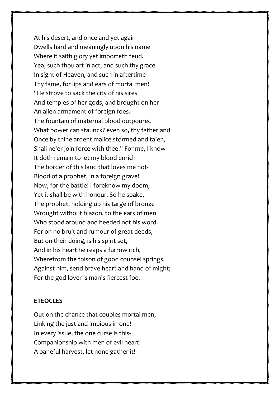At his desert, and once and yet again Dwells hard and meaningly upon his name Where it saith glory yet importeth feud. Yea, such thou art in act, and such thy grace In sight of Heaven, and such in aftertime Thy fame, for lips and ears of mortal men! "He strove to sack the city of his sires And temples of her gods, and brought on her An alien armament of foreign foes. The fountain of maternal blood outpoured What power can staunck? even so, thy fatherland Once by thine ardent malice stormed and ta'en, Shall ne'er join force with thee." For me, I know It doth remain to let my blood enrich The border of this land that loves me not-Blood of a prophet, in a foreign grave! Now, for the battle! I foreknow my doom, Yet it shall be with honour. So he spake, The prophet, holding up his targe of bronze Wrought without blazon, to the ears of men Who stood around and heeded not his word. For on no bruit and rumour of great deeds, But on their doing, is his spirit set, And in his heart he reaps a furrow rich, Wherefrom the foison of good counsel springs. Against him, send brave heart and hand of might; For the god-lover is man's fiercest foe.

#### **ETEOCLES**

Out on the chance that couples mortal men, Linking the just and impious in one! In every issue, the one curse is this-Companionship with men of evil heart! A baneful harvest, let none gather it!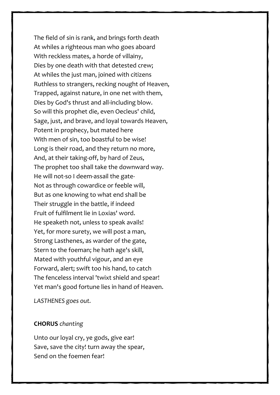The field of sin is rank, and brings forth death At whiles a righteous man who goes aboard With reckless mates, a horde of villainy, Dies by one death with that detested crew; At whiles the just man, joined with citizens Ruthless to strangers, recking nought of Heaven, Trapped, against nature, in one net with them, Dies by God's thrust and all-including blow. So will this prophet die, even Oecleus' child, Sage, just, and brave, and loyal towards Heaven, Potent in prophecy, but mated here With men of sin, too boastful to be wise! Long is their road, and they return no more, And, at their taking-off, by hard of Zeus, The prophet too shall take the downward way. He will not-so I deem-assail the gate-Not as through cowardice or feeble will, But as one knowing to what end shall be Their struggle in the battle, if indeed Fruit of fulfilment lie in Loxias' word. He speaketh not, unless to speak avails! Yet, for more surety, we will post a man, Strong Lasthenes, as warder of the gate, Stern to the foeman; he hath age's skill, Mated with youthful vigour, and an eye Forward, alert; swift too his hand, to catch The fenceless interval 'twixt shield and spear! Yet man's good fortune lies in hand of Heaven.

*LASTHENES goes out.*

#### **CHORUS** *chanting*

Unto our loyal cry, ye gods, give ear! Save, save the city! turn away the spear, Send on the foemen fear!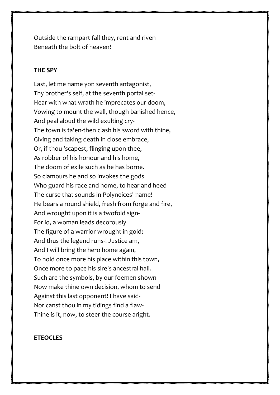Outside the rampart fall they, rent and riven Beneath the bolt of heaven!

#### **THE SPY**

Last, let me name yon seventh antagonist, Thy brother's self, at the seventh portal set-Hear with what wrath he imprecates our doom, Vowing to mount the wall, though banished hence, And peal aloud the wild exulting cry-The town is ta'en-then clash his sword with thine, Giving and taking death in close embrace, Or, if thou 'scapest, flinging upon thee, As robber of his honour and his home, The doom of exile such as he has borne. So clamours he and so invokes the gods Who guard his race and home, to hear and heed The curse that sounds in Polyneices' name! He bears a round shield, fresh from forge and fire, And wrought upon it is a twofold sign-For lo, a woman leads decorously The figure of a warrior wrought in gold; And thus the legend runs-I Justice am, And I will bring the hero home again, To hold once more his place within this town, Once more to pace his sire's ancestral hall. Such are the symbols, by our foemen shown-Now make thine own decision, whom to send Against this last opponent! I have said-Nor canst thou in my tidings find a flaw-Thine is it, now, to steer the course aright.

#### **ETEOCLES**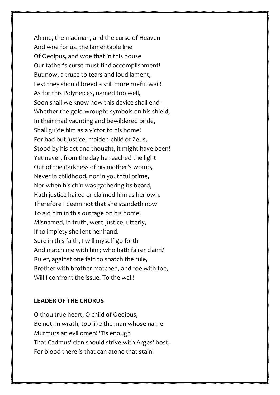Ah me, the madman, and the curse of Heaven And woe for us, the lamentable line Of Oedipus, and woe that in this house Our father's curse must find accomplishment! But now, a truce to tears and loud lament, Lest they should breed a still more rueful wail! As for this Polyneices, named too well, Soon shall we know how this device shall end-Whether the gold-wrought symbols on his shield, In their mad vaunting and bewildered pride, Shall guide him as a victor to his home! For had but justice, maiden-child of Zeus, Stood by his act and thought, it might have been! Yet never, from the day he reached the light Out of the darkness of his mother's womb, Never in childhood, nor in youthful prime, Nor when his chin was gathering its beard, Hath justice hailed or claimed him as her own. Therefore I deem not that she standeth now To aid him in this outrage on his home! Misnamed, in truth, were justice, utterly, If to impiety she lent her hand. Sure in this faith, I will myself go forth And match me with him; who hath fairer claim? Ruler, against one fain to snatch the rule, Brother with brother matched, and foe with foe, Will I confront the issue. To the wall!

#### **LEADER OF THE CHORUS**

O thou true heart, O child of Oedipus, Be not, in wrath, too like the man whose name Murmurs an evil omen! 'Tis enough That Cadmus' clan should strive with Arges' host, For blood there is that can atone that stain!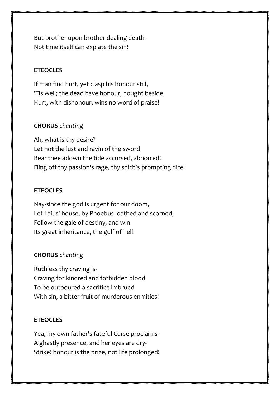But-brother upon brother dealing death-Not time itself can expiate the sin!

#### **ETEOCLES**

If man find hurt, yet clasp his honour still, 'Tis well; the dead have honour, nought beside. Hurt, with dishonour, wins no word of praise!

#### **CHORUS** *chanting*

Ah, what is thy desire? Let not the lust and ravin of the sword Bear thee adown the tide accursed, abhorred! Fling off thy passion's rage, thy spirit's prompting dire!

#### **ETEOCLES**

Nay-since the god is urgent for our doom, Let Laius' house, by Phoebus loathed and scorned, Follow the gale of destiny, and win Its great inheritance, the gulf of hell!

#### **CHORUS** *chanting*

Ruthless thy craving is-Craving for kindred and forbidden blood To be outpoured-a sacrifice imbrued With sin, a bitter fruit of murderous enmities!

#### **ETEOCLES**

Yea, my own father's fateful Curse proclaims-A ghastly presence, and her eyes are dry-Strike! honour is the prize, not life prolonged!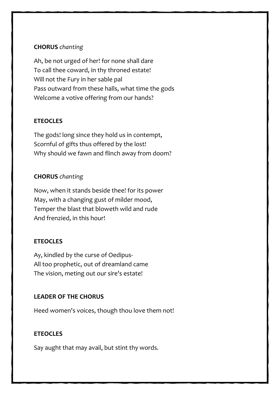#### **CHORUS** *chanting*

Ah, be not urged of her! for none shall dare To call thee coward, in thy throned estate! Will not the Fury in her sable pal Pass outward from these halls, what time the gods Welcome a votive offering from our hands?

#### **ETEOCLES**

The gods! long since they hold us in contempt, Scornful of gifts thus offered by the lost! Why should we fawn and flinch away from doom?

#### **CHORUS** *chanting*

Now, when it stands beside thee! for its power May, with a changing gust of milder mood, Temper the blast that bloweth wild and rude And frenzied, in this hour!

#### **ETEOCLES**

Ay, kindled by the curse of Oedipus-All too prophetic, out of dreamland came The vision, meting out our sire's estate!

#### **LEADER OF THE CHORUS**

Heed women's voices, though thou love them not!

#### **ETEOCLES**

Say aught that may avail, but stint thy words.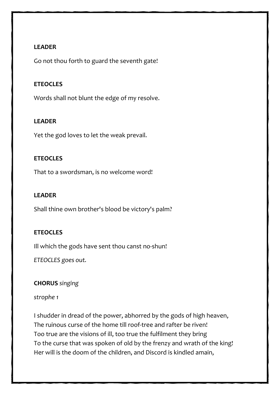#### **LEADER**

Go not thou forth to guard the seventh gate!

#### **ETEOCLES**

Words shall not blunt the edge of my resolve.

#### **LEADER**

Yet the god loves to let the weak prevail.

#### **ETEOCLES**

That to a swordsman, is no welcome word!

#### **LEADER**

Shall thine own brother's blood be victory's palm?

#### **ETEOCLES**

Ill which the gods have sent thou canst no-shun!

*ETEOCLES goes out.*

#### **CHORUS** *singing*

#### *strophe 1*

I shudder in dread of the power, abhorred by the gods of high heaven, The ruinous curse of the home till roof-tree and rafter be riven! Too true are the visions of ill, too true the fulfilment they bring To the curse that was spoken of old by the frenzy and wrath of the king! Her will is the doom of the children, and Discord is kindled amain,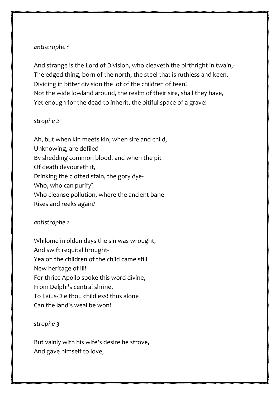#### *antistrophe 1*

And strange is the Lord of Division, who cleaveth the birthright in twain,- The edged thing, born of the north, the steel that is ruthless and keen, Dividing in bitter division the lot of the children of teen! Not the wide lowland around, the realm of their sire, shall they have, Yet enough for the dead to inherit, the pitiful space of a grave!

#### *strophe 2*

Ah, but when kin meets kin, when sire and child, Unknowing, are defiled By shedding common blood, and when the pit Of death devoureth it, Drinking the clotted stain, the gory dye-Who, who can purify? Who cleanse pollution, where the ancient bane Rises and reeks again?

#### *antistrophe 2*

Whilome in olden days the sin was wrought, And swift requital brought-Yea on the children of the child came still New heritage of ill! For thrice Apollo spoke this word divine, From Delphi's central shrine, To Laius-Die thou childless! thus alone Can the land's weal be won!

*strophe 3*

But vainly with his wife's desire he strove, And gave himself to love,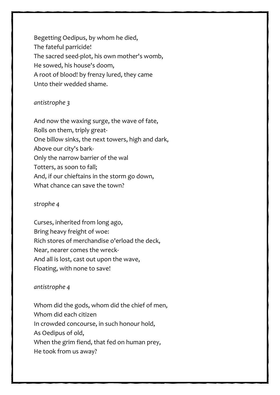Begetting Oedipus, by whom he died, The fateful parricide! The sacred seed-plot, his own mother's womb, He sowed, his house's doom, A root of blood! by frenzy lured, they came Unto their wedded shame.

#### *antistrophe 3*

And now the waxing surge, the wave of fate, Rolls on them, triply great-One billow sinks, the next towers, high and dark, Above our city's bark-Only the narrow barrier of the wal Totters, as soon to fall; And, if our chieftains in the storm go down, What chance can save the town?

#### *strophe 4*

Curses, inherited from long ago, Bring heavy freight of woe: Rich stores of merchandise o'erload the deck, Near, nearer comes the wreck-And all is lost, cast out upon the wave, Floating, with none to save!

#### *antistrophe 4*

Whom did the gods, whom did the chief of men, Whom did each citizen In crowded concourse, in such honour hold, As Oedipus of old, When the grim fiend, that fed on human prey, He took from us away?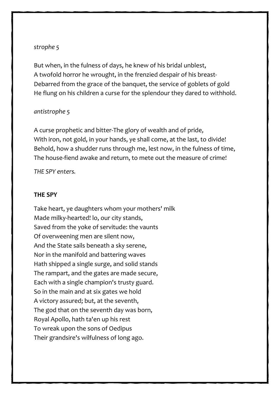#### *strophe 5*

But when, in the fulness of days, he knew of his bridal unblest, A twofold horror he wrought, in the frenzied despair of his breast-Debarred from the grace of the banquet, the service of goblets of gold He flung on his children a curse for the splendour they dared to withhold.

#### *antistrophe 5*

A curse prophetic and bitter-The glory of wealth and of pride, With iron, not gold, in your hands, ye shall come, at the last, to divide! Behold, how a shudder runs through me, lest now, in the fulness of time, The house-fiend awake and return, to mete out the measure of crime!

*THE SPY enters.*

#### **THE SPY**

Take heart, ye daughters whom your mothers' milk Made milky-hearted! lo, our city stands, Saved from the yoke of servitude: the vaunts Of overweening men are silent now, And the State sails beneath a sky serene, Nor in the manifold and battering waves Hath shipped a single surge, and solid stands The rampart, and the gates are made secure, Each with a single champion's trusty guard. So in the main and at six gates we hold A victory assured; but, at the seventh, The god that on the seventh day was born, Royal Apollo, hath ta'en up his rest To wreak upon the sons of Oedipus Their grandsire's wilfulness of long ago.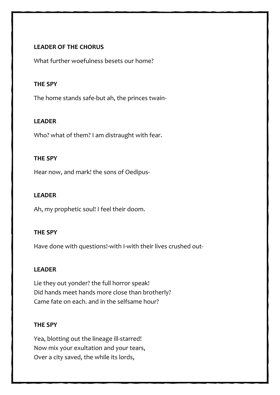#### **LEADER OF THE CHORUS**

What further woefulness besets our home?

#### **THE SPY**

The home stands safe-but ah, the princes twain-

#### **LEADER**

Who? what of them? I am distraught with fear.

#### **THE SPY**

Hear now, and mark! the sons of Oedipus-

#### **LEADER**

Ah, my prophetic soul! I feel their doom.

#### **THE SPY**

Have done with questions!-with I-with their lives crushed out-

#### **LEADER**

Lie they out yonder? the full horror speak! Did hands meet hands more close than brotherly? Came fate on each. and in the selfsame hour?

#### **THE SPY**

Yea, blotting out the lineage ill-starred! Now mix your exultation and your tears, Over a city saved, the while its lords,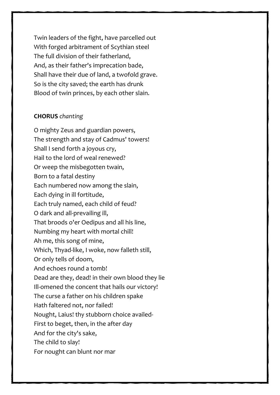Twin leaders of the fight, have parcelled out With forged arbitrament of Scythian steel The full division of their fatherland, And, as their father's imprecation bade, Shall have their due of land, a twofold grave. So is the city saved; the earth has drunk Blood of twin princes, by each other slain.

#### **CHORUS** *chanting*

O mighty Zeus and guardian powers, The strength and stay of Cadmus' towers! Shall I send forth a joyous cry, Hail to the lord of weal renewed? Or weep the misbegotten twain, Born to a fatal destiny Each numbered now among the slain, Each dying in ill fortitude, Each truly named, each child of feud? O dark and all-prevailing ill, That broods o'er Oedipus and all his line, Numbing my heart with mortal chill! Ah me, this song of mine, Which, Thyad-like, I woke, now falleth still, Or only tells of doom, And echoes round a tomb! Dead are they, dead! in their own blood they lie Ill-omened the concent that hails our victory! The curse a father on his children spake Hath faltered not, nor failed! Nought, Laius! thy stubborn choice availed-First to beget, then, in the after day And for the city's sake, The child to slay! For nought can blunt nor mar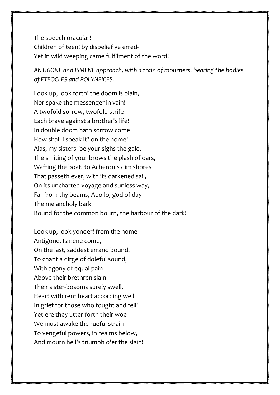The speech oracular! Children of teen! by disbelief ye erred-Yet in wild weeping came fulfilment of the word!

*ANTIGONE and ISMENE approach, with a train of mourners. bearing the bodies of ETEOCLES and POLYNEICES.*

Look up, look forth! the doom is plain, Nor spake the messenger in vain! A twofold sorrow, twofold strife-Each brave against a brother's life! In double doom hath sorrow come How shall I speak it?-on the home! Alas, my sisters! be your sighs the gale, The smiting of your brows the plash of oars, Wafting the boat, to Acheron's dim shores That passeth ever, with its darkened sail, On its uncharted voyage and sunless way, Far from thy beams, Apollo, god of day-The melancholy bark Bound for the common bourn, the harbour of the dark!

Look up, look yonder! from the home Antigone, Ismene come, On the last, saddest errand bound, To chant a dirge of doleful sound, With agony of equal pain Above their brethren slain! Their sister-bosoms surely swell, Heart with rent heart according well In grief for those who fought and fell! Yet-ere they utter forth their woe We must awake the rueful strain To vengeful powers, in realms below, And mourn hell's triumph o'er the slain!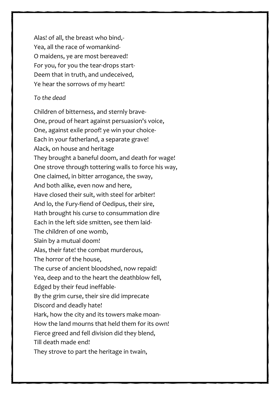Alas! of all, the breast who bind,- Yea, all the race of womankind-O maidens, ye are most bereaved! For you, for you the tear-drops start-Deem that in truth, and undeceived, Ye hear the sorrows of my heart!

#### *To the dead*

Children of bitterness, and sternly brave-One, proud of heart against persuasion's voice, One, against exile proof! ye win your choice-Each in your fatherland, a separate grave! Alack, on house and heritage They brought a baneful doom, and death for wage! One strove through tottering walls to force his way, One claimed, in bitter arrogance, the sway, And both alike, even now and here, Have closed their suit, with steel for arbiter! And lo, the Fury-fiend of Oedipus, their sire, Hath brought his curse to consummation dire Each in the left side smitten, see them laid-The children of one womb, Slain by a mutual doom! Alas, their fate! the combat murderous, The horror of the house, The curse of ancient bloodshed, now repaid! Yea, deep and to the heart the deathblow fell, Edged by their feud ineffable-By the grim curse, their sire did imprecate Discord and deadly hate! Hark, how the city and its towers make moan-How the land mourns that held them for its own! Fierce greed and fell division did they blend, Till death made end! They strove to part the heritage in twain,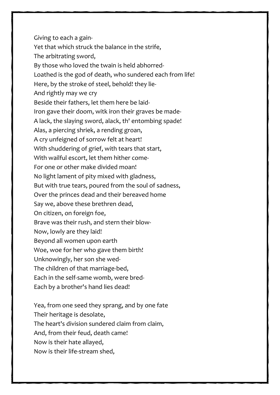Giving to each a gain-Yet that which struck the balance in the strife, The arbitrating sword, By those who loved the twain is held abhorred-Loathed is the god of death, who sundered each from life! Here, by the stroke of steel, behold! they lie-And rightly may we cry Beside their fathers, let them here be laid-Iron gave their doom, witk iron their graves be made-A lack, the slaying sword, alack, th' entombing spade! Alas, a piercing shriek, a rending groan, A cry unfeigned of sorrow felt at heart! With shuddering of grief, with tears that start, With wailful escort, let them hither come-For one or other make divided moan! No light lament of pity mixed with gladness, But with true tears, poured from the soul of sadness, Over the princes dead and their bereaved home Say we, above these brethren dead, On citizen, on foreign foe, Brave was their rush, and stern their blow-Now, lowly are they laid! Beyond all women upon earth Woe, woe for her who gave them birth! Unknowingly, her son she wed-The children of that marriage-bed, Each in the self-same womb, were bred-Each by a brother's hand lies dead!

Yea, from one seed they sprang, and by one fate Their heritage is desolate, The heart's division sundered claim from claim, And, from their feud, death came! Now is their hate allayed, Now is their life-stream shed,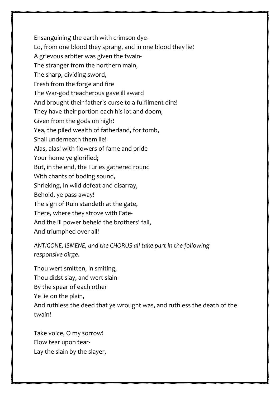Ensanguining the earth with crimson dye-

Lo, from one blood they sprang, and in one blood they lie!

A grievous arbiter was given the twain-

The stranger from the northern main,

The sharp, dividing sword,

Fresh from the forge and fire

The War-god treacherous gave ill award

And brought their father's curse to a fulfilment dire!

They have their portion-each his lot and doom,

Given from the gods on high!

Yea, the piled wealth of fatherland, for tomb,

Shall underneath them lie!

Alas, alas! with flowers of fame and pride

Your home ye glorified;

But, in the end, the Furies gathered round

With chants of boding sound,

Shrieking, In wild defeat and disarray,

Behold, ye pass away!

The sign of Ruin standeth at the gate,

There, where they strove with Fate-

And the ill power beheld the brothers' fall,

And triumphed over all!

*ANTIGONE, ISMENE, and the CHORUS all take part in the following responsive dirge.*

Thou wert smitten, in smiting, Thou didst slay, and wert slain-By the spear of each other Ye lie on the plain, And ruthless the deed that ye wrought was, and ruthless the death of the twain!

Take voice, O my sorrow! Flow tear upon tear-Lay the slain by the slayer,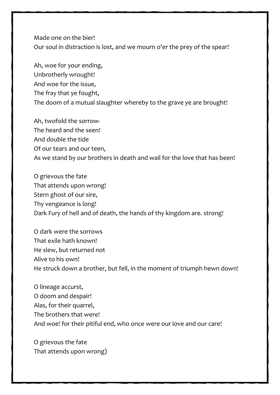Made one on the bier! Our soul in distraction is lost, and we mourn o'er the prey of the spear!

Ah, woe for your ending, Unbrotherly wrought! And woe for the issue, The fray that ye fought, The doom of a mutual slaughter whereby to the grave ye are brought!

Ah, twofold the sorrow-The heard and the seen! And double the tide Of our tears and our teen, As we stand by our brothers in death and wail for the love that has been!

O grievous the fate That attends upon wrong! Stern ghost of our sire, Thy vengeance is long! Dark Fury of hell and of death, the hands of thy kingdom are. strong!

O dark were the sorrows That exile hath known! He slew, but returned not Alive to his own! He struck down a brother, but fell, in the moment of triumph hewn down!

O lineage accurst, O doom and despair! Alas, for their quarrel, The brothers that were! And woe! for their pitiful end, who once were our love and our care!

O grievous the fate That attends upon wrong)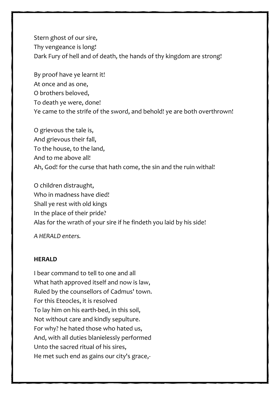Stern ghost of our sire, Thy vengeance is long! Dark Fury of hell and of death, the hands of thy kingdom are strong!

By proof have ye learnt it! At once and as one, O brothers beloved, To death ye were, done! Ye came to the strife of the sword, and behold! ye are both overthrown!

O grievous the tale is, And grievous their fall, To the house, to the land, And to me above all! Ah, God! for the curse that hath come, the sin and the ruin withal!

O children distraught, Who in madness have died! Shall ye rest with old kings In the place of their pride? Alas for the wrath of your sire if he findeth you laid by his side!

*A HERALD enters.*

#### **HERALD**

I bear command to tell to one and all What hath approved itself and now is law, Ruled by the counsellors of Cadmus' town. For this Eteocles, it is resolved To lay him on his earth-bed, in this soil, Not without care and kindly sepulture. For why? he hated those who hated us, And, with all duties blanielessly performed Unto the sacred ritual of his sires, He met such end as gains our city's grace,-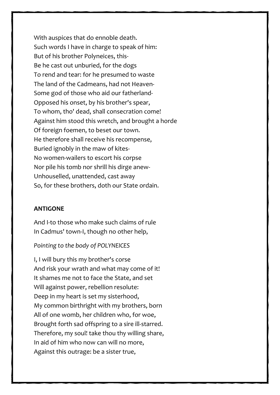With auspices that do ennoble death. Such words I have in charge to speak of him: But of his brother Polyneices, this-Be he cast out unburied, for the dogs To rend and tear: for he presumed to waste The land of the Cadmeans, had not Heaven-Some god of those who aid our fatherland-Opposed his onset, by his brother's spear, To whom, tho' dead, shall consecration come! Against him stood this wretch, and brought a horde Of foreign foemen, to beset our town. He therefore shall receive his recompense, Buried ignobly in the maw of kites-No women-wailers to escort his corpse Nor pile his tomb nor shrill his dirge anew-Unhouselled, unattended, cast away So, for these brothers, doth our State ordain.

#### **ANTIGONE**

And I-to those who make such claims of rule In Cadmus' town-I, though no other help,

#### *Pointing to the body of POLYNEICES*

I, I will bury this my brother's corse And risk your wrath and what may come of it! It shames me not to face the State, and set Will against power, rebellion resolute: Deep in my heart is set my sisterhood, My common birthright with my brothers, born All of one womb, her children who, for woe, Brought forth sad offspring to a sire ill-starred. Therefore, my soul! take thou thy willing share, In aid of him who now can will no more, Against this outrage: be a sister true,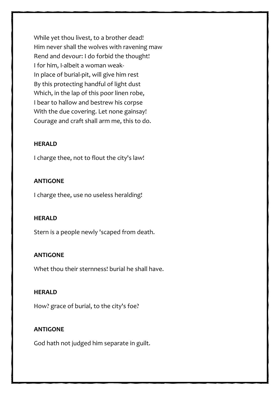While yet thou livest, to a brother dead! Him never shall the wolves with ravening maw Rend and devour: I do forbid the thought! I for him, I-albeit a woman weak-In place of burial-pit, will give him rest By this protecting handful of light dust Which, in the lap of this poor linen robe, I bear to hallow and bestrew his corpse With the due covering. Let none gainsay! Courage and craft shall arm me, this to do.

#### **HERALD**

I charge thee, not to flout the city's law!

#### **ANTIGONE**

I charge thee, use no useless heralding!

#### **HERALD**

Stern is a people newly 'scaped from death.

#### **ANTIGONE**

Whet thou their sternness! burial he shall have.

#### **HERALD**

How? grace of burial, to the city's foe?

#### **ANTIGONE**

God hath not judged him separate in guilt.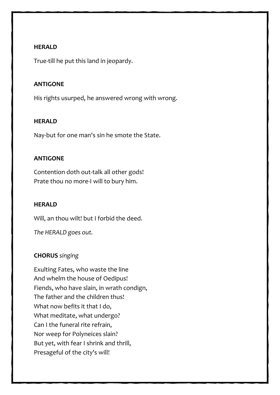#### **HERALD**

True-till he put this land in jeopardy.

#### **ANTIGONE**

His rights usurped, he answered wrong with wrong.

#### **HERALD**

Nay-but for one man's sin he smote the State.

#### **ANTIGONE**

Contention doth out-talk all other gods! Prate thou no more-I will to bury him.

#### **HERALD**

Will, an thou wilt! but I forbid the deed.

*The HERALD goes out.*

#### **CHORUS** *singing*

Exulting Fates, who waste the line And whelm the house of Oedipus! Fiends, who have slain, in wrath condign, The father and the children thus! What now befits it that I do, What meditate, what undergo? Can I the funeral rite refrain, Nor weep for Polyneices slain? But yet, with fear I shrink and thrill, Presageful of the city's will!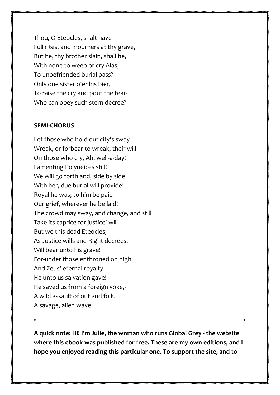Thou, O Eteocles, shalt have Full rites, and mourners at thy grave, But he, thy brother slain, shall he, With none to weep or cry Alas, To unbefriended burial pass? Only one sister o'er his bier, To raise the cry and pour the tear-Who can obey such stern decree?

#### **SEMI-CHORUS**

Let those who hold our city's sway Wreak, or forbear to wreak, their will On those who cry, Ah, well-a-day! Lamenting Polyneices still! We will go forth and, side by side With her, due burial will provide! Royal he was; to him be paid Our grief, wherever he be laid! The crowd may sway, and change, and still Take its caprice for justice' will But we this dead Eteocles, As Justice wills and Right decrees, Will bear unto his grave! For-under those enthroned on high And Zeus' eternal royalty-He unto us salvation gave! He saved us from a foreign yoke,- A wild assault of outland folk, A savage, alien wave!

**A quick note: Hi! I'm Julie, the woman who runs Global Grey - the website where this ebook was published for free. These are my own editions, and I hope you enjoyed reading this particular one. To support the site, and to**